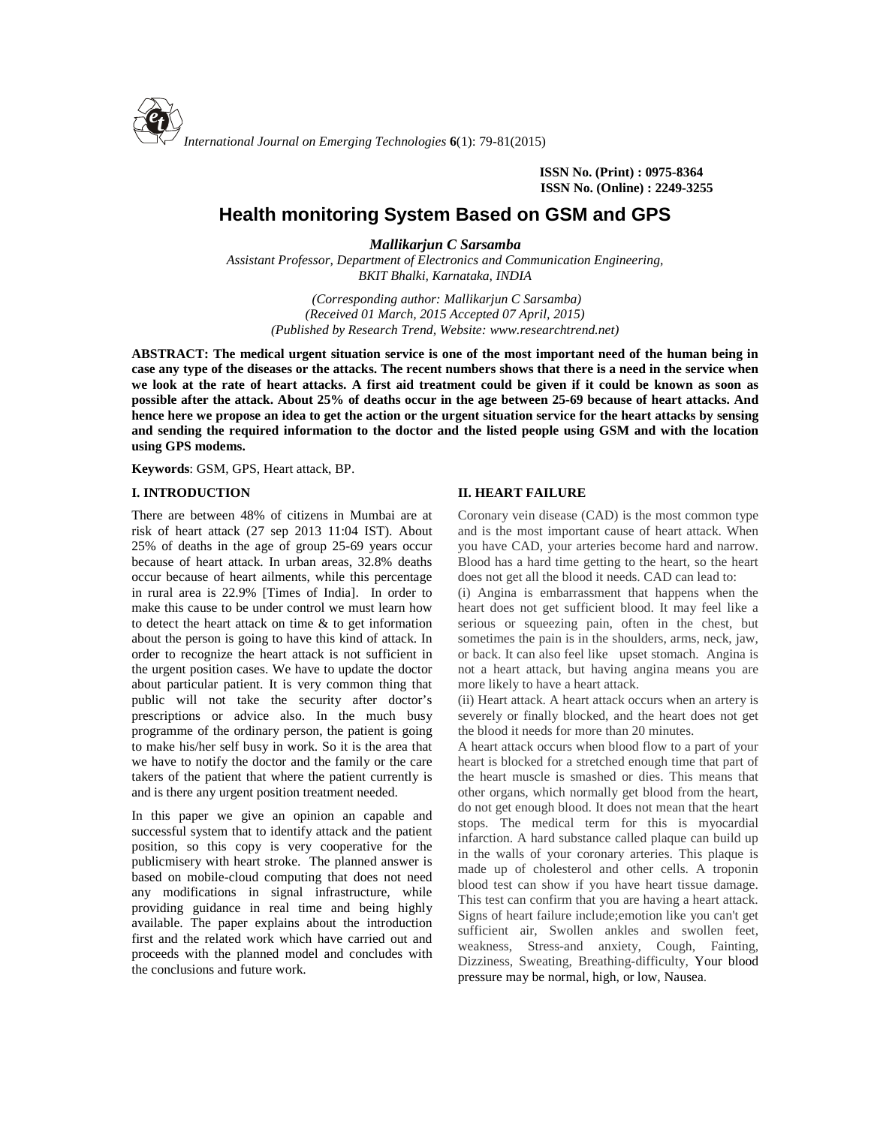

**ISSN No. (Print) : 0975-8364 ISSN No. (Online) : 2249-3255**

# **Health monitoring System Based on GSM and GPS**

*Mallikarjun C Sarsamba*

*Assistant Professor, Department of Electronics and Communication Engineering, BKIT Bhalki, Karnataka, INDIA*

> *(Corresponding author: Mallikarjun C Sarsamba) (Received 01 March, 2015 Accepted 07 April, 2015) (Published by Research Trend, Website: <www.researchtrend.net>)*

**ABSTRACT: The medical urgent situation service is one of the most important need of the human being in case any type of the diseases or the attacks. The recent numbers shows that there is a need in the service when we look at the rate of heart attacks. A first aid treatment could be given if it could be known as soon as possible after the attack. About 25% of deaths occur in the age between 25-69 because of heart attacks. And hence here we propose an idea to get the action or the urgent situation service for the heart attacks by sensing and sending the required information to the doctor and the listed people using GSM and with the location using GPS modems.**

**Keywords**: GSM, GPS, Heart attack, BP.

#### **I. INTRODUCTION**

There are between 48% of citizens in Mumbai are at risk of heart attack (27 sep 2013 11:04 IST). About 25% of deaths in the age of group 25-69 years occur because of heart attack. In urban areas, 32.8% deaths occur because of heart ailments, while this percentage in rural area is 22.9% [Times of India]. In order to make this cause to be under control we must learn how to detect the heart attack on time & to get information about the person is going to have this kind of attack. In order to recognize the heart attack is not sufficient in the urgent position cases. We have to update the doctor about particular patient. It is very common thing that public will not take the security after doctor's prescriptions or advice also. In the much busy programme of the ordinary person, the patient is going to make his/her self busy in work. So it is the area that we have to notify the doctor and the family or the care takers of the patient that where the patient currently is and is there any urgent position treatment needed.

In this paper we give an opinion an capable and successful system that to identify attack and the patient position, so this copy is very cooperative for the publicmisery with heart stroke. The planned answer is based on mobile-cloud computing that does not need any modifications in signal infrastructure, while providing guidance in real time and being highly available. The paper explains about the introduction first and the related work which have carried out and proceeds with the planned model and concludes with the conclusions and future work.

#### **II. HEART FAILURE**

Coronary vein disease (CAD) is the most common type and is the most important cause of heart attack. When you have CAD, your arteries become hard and narrow. Blood has a hard time getting to the heart, so the heart does not get all the blood it needs. CAD can lead to:

(i) Angina is embarrassment that happens when the heart does not get sufficient blood. It may feel like a serious or squeezing pain, often in the chest, but sometimes the pain is in the shoulders, arms, neck, jaw, or back. It can also feel like upset stomach. Angina is not a heart attack, but having angina means you are more likely to have a heart attack.

(ii) Heart attack. A heart attack occurs when an artery is severely or finally blocked, and the heart does not get the blood it needs for more than 20 minutes.

A heart attack occurs when blood flow to a part of your heart is blocked for a stretched enough time that part of the heart muscle is smashed or dies. This means that other organs, which normally get blood from the heart, do not get enough blood. It does not mean that the heart stops. The medical term for this is myocardial infarction. A hard substance called plaque can build up in the walls of your coronary arteries. This plaque is made up of cholesterol and other cells. A troponin blood test can show if you have heart tissue damage. This test can confirm that you are having a heart attack. Signs of heart failure include;emotion like you can't get sufficient air, Swollen ankles and swollen feet, weakness, Stress-and anxiety, Cough, Fainting, Dizziness, Sweating, Breathing-difficulty, Your blood pressure may be normal, high, or low, Nausea.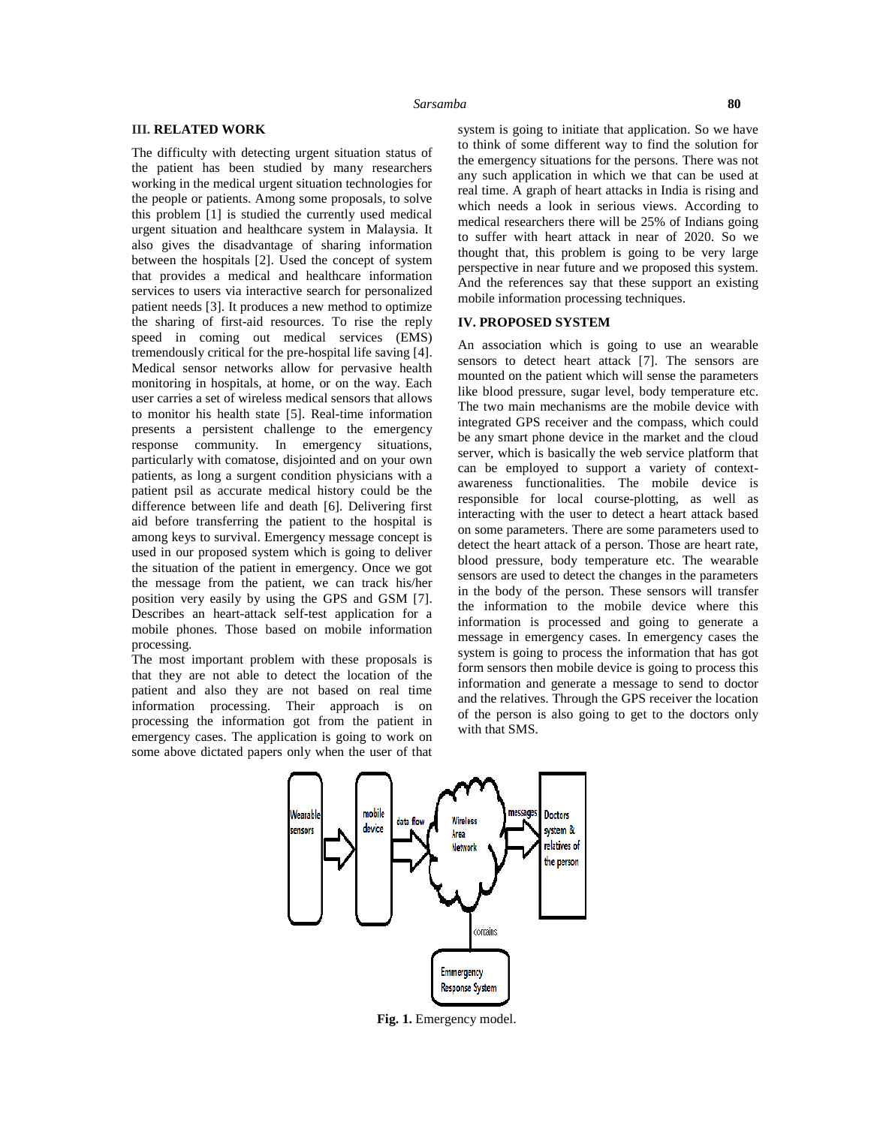#### **III. RELATED WORK**

The difficulty with detecting urgent situation status of the patient has been studied by many researchers working in the medical urgent situation technologies for the people or patients. Among some proposals, to solve this problem [1] is studied the currently used medical urgent situation and healthcare system in Malaysia. It also gives the disadvantage of sharing information between the hospitals [2]. Used the concept of system that provides a medical and healthcare information services to users via interactive search for personalized patient needs [3]. It produces a new method to optimize the sharing of first-aid resources. To rise the reply speed in coming out medical services (EMS) tremendously critical for the pre-hospital life saving [4]. Medical sensor networks allow for pervasive health monitoring in hospitals, at home, or on the way. Each user carries a set of wireless medical sensors that allows to monitor his health state [5]. Real-time information presents a persistent challenge to the emergency response community. In emergency situations, particularly with comatose, disjointed and on your own patients, as long a surgent condition physicians with a patient psil as accurate medical history could be the difference between life and death [6]. Delivering first aid before transferring the patient to the hospital is among keys to survival. Emergency message concept is used in our proposed system which is going to deliver the situation of the patient in emergency. Once we got the message from the patient, we can track his/her position very easily by using the GPS and GSM [7]. Describes an heart-attack self-test application for a mobile phones. Those based on mobile information processing.

The most important problem with these proposals is that they are not able to detect the location of the patient and also they are not based on real time information processing. Their approach is on processing the information got from the patient in emergency cases. The application is going to work on some above dictated papers only when the user of that

system is going to initiate that application. So we have to think of some different way to find the solution for the emergency situations for the persons. There was not any such application in which we that can be used at real time. A graph of heart attacks in India is rising and which needs a look in serious views. According to medical researchers there will be 25% of Indians going to suffer with heart attack in near of 2020. So we thought that, this problem is going to be very large perspective in near future and we proposed this system. And the references say that these support an existing mobile information processing techniques.

## **IV. PROPOSED SYSTEM**

An association which is going to use an wearable sensors to detect heart attack [7]. The sensors are mounted on the patient which will sense the parameters like blood pressure, sugar level, body temperature etc. The two main mechanisms are the mobile device with integrated GPS receiver and the compass, which could be any smart phone device in the market and the cloud server, which is basically the web service platform that can be employed to support a variety of context awareness functionalities. The mobile device is responsible for local course-plotting, as well as interacting with the user to detect a heart attack based on some parameters. There are some parameters used to detect the heart attack of a person. Those are heart rate, blood pressure, body temperature etc. The wearable sensors are used to detect the changes in the parameters in the body of the person. These sensors will transfer the information to the mobile device where this information is processed and going to generate a message in emergency cases. In emergency cases the system is going to process the information that has got form sensors then mobile device is going to process this information and generate a message to send to doctor and the relatives. Through the GPS receiver the location of the person is also going to get to the doctors only with that SMS.



**Fig. 1.** Emergency model.